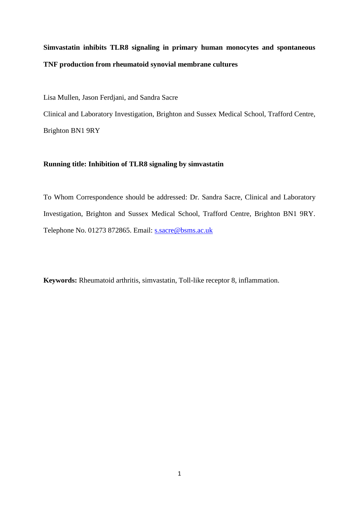# **Simvastatin inhibits TLR8 signaling in primary human monocytes and spontaneous TNF production from rheumatoid synovial membrane cultures**

Lisa Mullen, Jason Ferdjani, and Sandra Sacre

Clinical and Laboratory Investigation, Brighton and Sussex Medical School, Trafford Centre, Brighton BN1 9RY

### **Running title: Inhibition of TLR8 signaling by simvastatin**

To Whom Correspondence should be addressed: Dr. Sandra Sacre, Clinical and Laboratory Investigation, Brighton and Sussex Medical School, Trafford Centre, Brighton BN1 9RY. Telephone No. 01273 872865. Email: [s.sacre@bsms.ac.uk](mailto:s.sacre@bsms.ac.uk)

**Keywords:** Rheumatoid arthritis, simvastatin, Toll-like receptor 8, inflammation.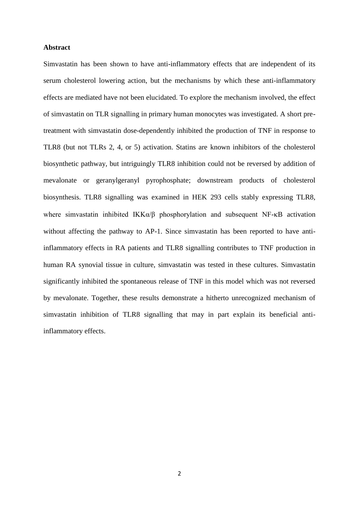#### **Abstract**

Simvastatin has been shown to have anti-inflammatory effects that are independent of its serum cholesterol lowering action, but the mechanisms by which these anti-inflammatory effects are mediated have not been elucidated. To explore the mechanism involved, the effect of simvastatin on TLR signalling in primary human monocytes was investigated. A short pretreatment with simvastatin dose-dependently inhibited the production of TNF in response to TLR8 (but not TLRs 2, 4, or 5) activation. Statins are known inhibitors of the cholesterol biosynthetic pathway, but intriguingly TLR8 inhibition could not be reversed by addition of mevalonate or geranylgeranyl pyrophosphate; downstream products of cholesterol biosynthesis. TLR8 signalling was examined in HEK 293 cells stably expressing TLR8, where simvastatin inhibited  $IKK\alpha/\beta$  phosphorylation and subsequent NF- $\kappa$ B activation without affecting the pathway to AP-1. Since simvastatin has been reported to have antiinflammatory effects in RA patients and TLR8 signalling contributes to TNF production in human RA synovial tissue in culture, simvastatin was tested in these cultures. Simvastatin significantly inhibited the spontaneous release of TNF in this model which was not reversed by mevalonate. Together, these results demonstrate a hitherto unrecognized mechanism of simvastatin inhibition of TLR8 signalling that may in part explain its beneficial antiinflammatory effects.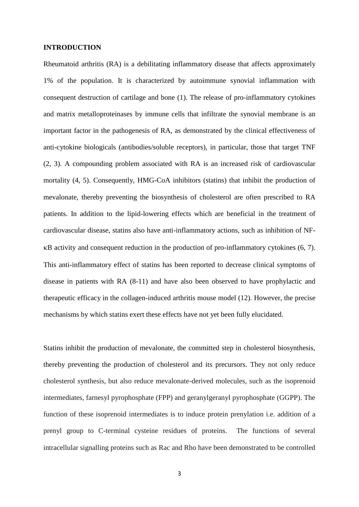#### **INTRODUCTION**

Rheumatoid arthritis (RA) is a debilitating inflammatory disease that affects approximately 1% of the population. It is characterized by autoimmune synovial inflammation with consequent destruction of cartilage and bone [\(1\)](#page-16-0). The release of pro-inflammatory cytokines and matrix metalloproteinases by immune cells that infiltrate the synovial membrane is an important factor in the pathogenesis of RA, as demonstrated by the clinical effectiveness of anti-cytokine biologicals (antibodies/soluble receptors), in particular, those that target TNF [\(2,](#page-16-1) [3\)](#page-16-2). A compounding problem associated with RA is an increased risk of cardiovascular mortality [\(4,](#page-16-3) [5\)](#page-16-4). Consequently, HMG-CoA inhibitors (statins) that inhibit the production of mevalonate, thereby preventing the biosynthesis of cholesterol are often prescribed to RA patients. In addition to the lipid-lowering effects which are beneficial in the treatment of cardiovascular disease, statins also have anti-inflammatory actions, such as inhibition of NF- B activity and consequent reduction in the production of pro-inflammatory cytokines [\(6,](#page-16-5) [7\)](#page-16-6). This anti-inflammatory effect of statins has been reported to decrease clinical symptoms of disease in patients with RA [\(8-11\)](#page-16-7) and have also been observed to have prophylactic and therapeutic efficacy in the collagen-induced arthritis mouse model [\(12\)](#page-16-8). However, the precise mechanisms by which statins exert these effects have not yet been fully elucidated.

Statins inhibit the production of mevalonate, the committed step in cholesterol biosynthesis, thereby preventing the production of cholesterol and its precursors. They not only reduce cholesterol synthesis, but also reduce mevalonate-derived molecules, such as the isoprenoid intermediates, farnesyl pyrophosphate (FPP) and geranylgeranyl pyrophosphate (GGPP). The function of these isoprenoid intermediates is to induce protein prenylation i.e. addition of a prenyl group to C-terminal cysteine residues of proteins. The functions of several intracellular signalling proteins such as Rac and Rho have been demonstrated to be controlled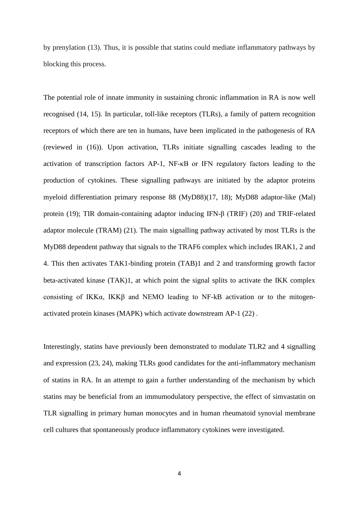by prenylation [\(13\)](#page-16-9). Thus, it is possible that statins could mediate inflammatory pathways by blocking this process.

The potential role of innate immunity in sustaining chronic inflammation in RA is now well recognised [\(14,](#page-16-10) [15\)](#page-16-11). In particular, toll-like receptors (TLRs), a family of pattern recognition receptors of which there are ten in humans, have been implicated in the pathogenesis of RA (reviewed in [\(16\)](#page-16-12)). Upon activation, TLRs initiate signalling cascades leading to the activation of transcription factors AP-1, NF-κB or IFN regulatory factors leading to the production of cytokines. These signalling pathways are initiated by the adaptor proteins myeloid differentiation primary response 88 (MyD88)[\(17,](#page-16-13) [18\)](#page-16-14); MyD88 adaptor-like (Mal) protein [\(19\)](#page-16-15); TIR domain-containing adaptor inducing IFN-β (TRIF) [\(20\)](#page-16-16) and TRIF-related adaptor molecule (TRAM) [\(21\)](#page-16-17). The main signalling pathway activated by most TLRs is the MyD88 dependent pathway that signals to the TRAF6 complex which includes IRAK1, 2 and 4. This then activates TAK1-binding protein (TAB)1 and 2 and transforming growth factor beta-activated kinase (TAK)1, at which point the signal splits to activate the IKK complex consisting of IKK $\alpha$ , IKK $\beta$  and NEMO leading to NF-kB activation or to the mitogenactivated protein kinases (MAPK) which activate downstream AP-1 [\(22\)](#page-16-18) .

Interestingly, statins have previously been demonstrated to modulate TLR2 and 4 signalling and expression [\(23,](#page-17-0) [24\)](#page-17-1), making TLRs good candidates for the anti-inflammatory mechanism of statins in RA. In an attempt to gain a further understanding of the mechanism by which statins may be beneficial from an immumodulatory perspective, the effect of simvastatin on TLR signalling in primary human monocytes and in human rheumatoid synovial membrane cell cultures that spontaneously produce inflammatory cytokines were investigated.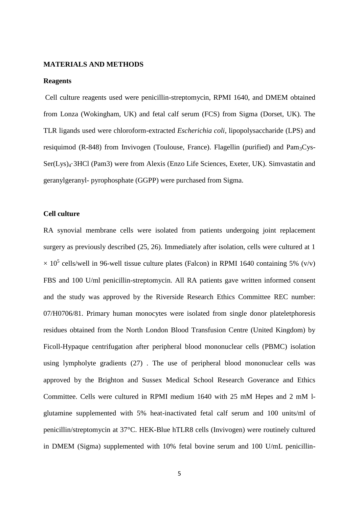#### **MATERIALS AND METHODS**

#### **Reagents**

Cell culture reagents used were penicillin-streptomycin, RPMI 1640, and DMEM obtained from Lonza (Wokingham, UK) and fetal calf serum (FCS) from Sigma (Dorset, UK). The TLR ligands used were chloroform-extracted *Escherichia coli*, lipopolysaccharide (LPS) and resiquimod (R-848) from Invivogen (Toulouse, France). Flagellin (purified) and Pam<sub>3</sub>Cys-Ser(Lys)4·3HCl (Pam3) were from Alexis (Enzo Life Sciences, Exeter, UK). Simvastatin and geranylgeranyl- pyrophosphate (GGPP) were purchased from Sigma.

### **Cell culture**

RA synovial membrane cells were isolated from patients undergoing joint replacement surgery as previously described [\(25,](#page-17-2) [26\)](#page-17-3). Immediately after isolation, cells were cultured at 1  $\times$  10<sup>5</sup> cells/well in 96-well tissue culture plates (Falcon) in RPMI 1640 containing 5% (v/v) FBS and 100 U/ml penicillin-streptomycin. All RA patients gave written informed consent and the study was approved by the Riverside Research Ethics Committee REC number: 07/H0706/81. Primary human monocytes were isolated from single donor plateletphoresis residues obtained from the North London Blood Transfusion Centre (United Kingdom) by Ficoll-Hypaque centrifugation after peripheral blood mononuclear cells (PBMC) isolation using lympholyte gradients [\(27\)](#page-17-4) . The use of peripheral blood mononuclear cells was approved by the Brighton and Sussex Medical School Research Goverance and Ethics Committee. Cells were cultured in RPMI medium 1640 with 25 mM Hepes and 2 mM lglutamine supplemented with 5% heat-inactivated fetal calf serum and 100 units/ml of penicillin/streptomycin at 37°C. HEK-Blue hTLR8 cells (Invivogen) were routinely cultured in DMEM (Sigma) supplemented with 10% fetal bovine serum and 100 U/mL penicillin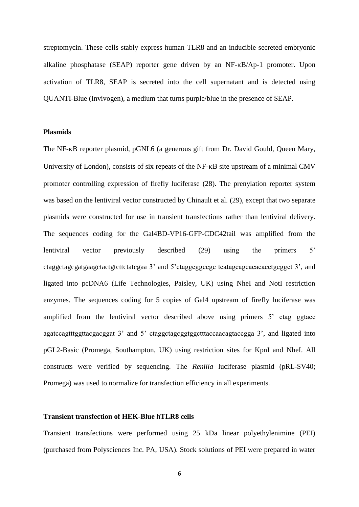streptomycin. These cells stably express human TLR8 and an inducible secreted embryonic alkaline phosphatase (SEAP) reporter gene driven by an NF-KB/Ap-1 promoter. Upon activation of TLR8, SEAP is secreted into the cell supernatant and is detected using QUANTI-Blue (Invivogen), a medium that turns purple/blue in the presence of SEAP.

### **Plasmids**

The NF-KB reporter plasmid, pGNL6 (a generous gift from Dr. David Gould, Queen Mary, University of London), consists of six repeats of the  $NF-\kappa B$  site upstream of a minimal CMV promoter controlling expression of firefly luciferase [\(28\)](#page-17-5). The prenylation reporter system was based on the lentiviral vector constructed by Chinault et al. [\(29\)](#page-17-6), except that two separate plasmids were constructed for use in transient transfections rather than lentiviral delivery. The sequences coding for the Gal4BD-VP16-GFP-CDC42tail was amplified from the lentiviral vector previously described [\(29\)](#page-17-6) using the primers 5' ctaggctagcgatgaagctactgtcttctatcgaa 3' and 5'ctaggcggccgc tcatagcagcacacacctgcggct 3', and ligated into pcDNA6 (Life Technologies, Paisley, UK) using NheI and NotI restriction enzymes. The sequences coding for 5 copies of Gal4 upstream of firefly luciferase was amplified from the lentiviral vector described above using primers 5' ctag ggtacc agatccagtttggttacgacggat 3' and 5' ctaggctagcggtggctttaccaacagtaccgga 3', and ligated into pGL2-Basic (Promega, Southampton, UK) using restriction sites for KpnI and NheI. All constructs were verified by sequencing. The *Renilla* luciferase plasmid (pRL-SV40; Promega) was used to normalize for transfection efficiency in all experiments.

#### **Transient transfection of HEK-Blue hTLR8 cells**

Transient transfections were performed using 25 kDa linear polyethylenimine (PEI) (purchased from Polysciences Inc. PA, USA). Stock solutions of PEI were prepared in water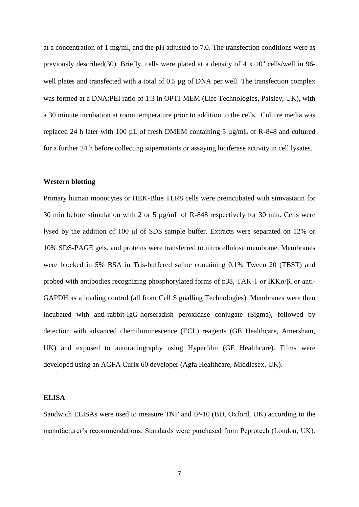at a concentration of 1 mg/ml, and the pH adjusted to 7.0. The transfection conditions were as previously described[\(30\)](#page-17-7). Briefly, cells were plated at a density of 4 x  $10^5$  cells/well in 96well plates and transfected with a total of  $0.5 \mu$ g of DNA per well. The transfection complex was formed at a DNA:PEI ratio of 1:3 in OPTI-MEM (Life Technologies, Paisley, UK), with a 30 minute incubation at room temperature prior to addition to the cells. Culture media was replaced 24 h later with 100 µL of fresh DMEM containing 5 µg/mL of R-848 and cultured for a further 24 h before collecting supernatants or assaying luciferase activity in cell lysates.

## **Western blotting**

Primary human monocytes or HEK-Blue TLR8 cells were preincubated with simvastatin for 30 min before stimulation with 2 or 5 µg/mL of R-848 respectively for 30 min. Cells were lysed by the addition of 100 μl of SDS sample buffer. Extracts were separated on 12% or 10% SDS-PAGE gels, and proteins were transferred to nitrocellulose membrane. Membranes were blocked in 5% BSA in Tris-buffered saline containing 0.1% Tween 20 (TBST) and probed with antibodies recognizing phosphorylated forms of p38, TAK-1 or IKKα/β, or anti-GAPDH as a loading control (all from Cell Signalling Technologies). Membranes were then incubated with anti-rabbit-IgG-horseradish peroxidase conjugate (Sigma), followed by detection with advanced chemiluminescence (ECL) reagents (GE Healthcare, Amersham, UK) and exposed to autoradiography using Hyperfilm (GE Healthcare). Films were developed using an AGFA Curix 60 developer (Agfa Healthcare, Middlesex, UK).

#### **ELISA**

Sandwich ELISAs were used to measure TNF and IP-10 (BD, Oxford, UK) according to the manufacturer's recommendations. Standards were purchased from Peprotech (London, UK).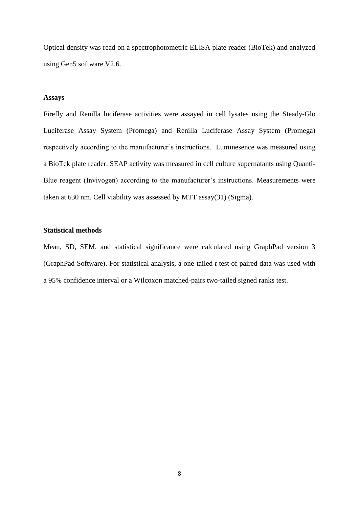Optical density was read on a spectrophotometric ELISA plate reader (BioTek) and analyzed using Gen5 software V2.6.

#### **Assays**

Firefly and Renilla luciferase activities were assayed in cell lysates using the Steady-Glo Luciferase Assay System (Promega) and Renilla Luciferase Assay System (Promega) respectively according to the manufacturer's instructions. Luminesence was measured using a BioTek plate reader. SEAP activity was measured in cell culture supernatants using Quanti-Blue reagent (Invivogen) according to the manufacturer's instructions. Measurements were taken at 630 nm. Cell viability was assessed by MTT assay[\(31\)](#page-17-8) (Sigma).

### **Statistical methods**

Mean, SD, SEM, and statistical significance were calculated using GraphPad version 3 (GraphPad Software). For statistical analysis, a one-tailed *t* test of paired data was used with a 95% confidence interval or a Wilcoxon matched-pairs two-tailed signed ranks test.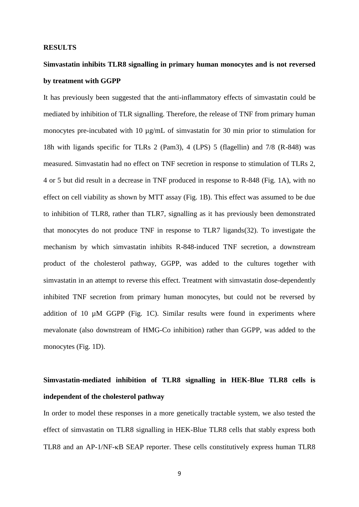#### **RESULTS**

# **Simvastatin inhibits TLR8 signalling in primary human monocytes and is not reversed by treatment with GGPP**

It has previously been suggested that the anti-inflammatory effects of simvastatin could be mediated by inhibition of TLR signalling. Therefore, the release of TNF from primary human monocytes pre-incubated with 10  $\mu$ g/mL of simvastatin for 30 min prior to stimulation for 18h with ligands specific for TLRs 2 (Pam3), 4 (LPS) 5 (flagellin) and 7/8 (R-848) was measured. Simvastatin had no effect on TNF secretion in response to stimulation of TLRs 2, 4 or 5 but did result in a decrease in TNF produced in response to R-848 (Fig. 1A), with no effect on cell viability as shown by MTT assay (Fig. 1B). This effect was assumed to be due to inhibition of TLR8, rather than TLR7, signalling as it has previously been demonstrated that monocytes do not produce TNF in response to TLR7 ligands[\(32\)](#page-17-9). To investigate the mechanism by which simvastatin inhibits R-848-induced TNF secretion, a downstream product of the cholesterol pathway, GGPP, was added to the cultures together with simvastatin in an attempt to reverse this effect. Treatment with simvastatin dose-dependently inhibited TNF secretion from primary human monocytes, but could not be reversed by addition of 10  $\mu$ M GGPP (Fig. 1C). Similar results were found in experiments where mevalonate (also downstream of HMG-Co inhibition) rather than GGPP, was added to the monocytes (Fig. 1D).

# **Simvastatin-mediated inhibition of TLR8 signalling in HEK-Blue TLR8 cells is independent of the cholesterol pathway**

In order to model these responses in a more genetically tractable system, we also tested the effect of simvastatin on TLR8 signalling in HEK-Blue TLR8 cells that stably express both TLR8 and an AP-1/NF-KB SEAP reporter. These cells constitutively express human TLR8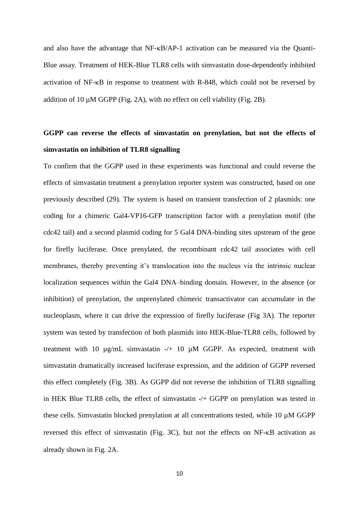and also have the advantage that NF- $\kappa$ B/AP-1 activation can be measured via the Quanti-Blue assay. Treatment of HEK-Blue TLR8 cells with simvastatin dose-dependently inhibited activation of  $NF$ - $\kappa$ B in response to treatment with R-848, which could not be reversed by addition of 10  $\mu$ M GGPP (Fig. 2A), with no effect on cell viability (Fig. 2B).

## **GGPP can reverse the effects of simvastatin on prenylation, but not the effects of simvastatin on inhibition of TLR8 signalling**

To confirm that the GGPP used in these experiments was functional and could reverse the effects of simvastatin treatment a prenylation reporter system was constructed, based on one previously described [\(29\)](#page-17-6). The system is based on transient transfection of 2 plasmids: one coding for a chimeric Gal4-VP16-GFP transcription factor with a prenylation motif (the cdc42 tail) and a second plasmid coding for 5 Gal4 DNA-binding sites upstream of the gene for firefly luciferase. Once prenylated, the recombinant cdc42 tail associates with cell membranes, thereby preventing it's translocation into the nucleus via the intrinsic nuclear localization sequences within the Gal4 DNA–binding domain. However, in the absence (or inhibition) of prenylation, the unprenylated chimeric transactivator can accumulate in the nucleoplasm, where it can drive the expression of firefly luciferase (Fig 3A). The reporter system was tested by transfection of both plasmids into HEK-Blue-TLR8 cells, followed by treatment with 10 µg/mL simvastatin -/+ 10 µM GGPP. As expected, treatment with simvastatin dramatically increased luciferase expression, and the addition of GGPP reversed this effect completely (Fig. 3B). As GGPP did not reverse the inhibition of TLR8 signalling in HEK Blue TLR8 cells, the effect of simvastatin -/+ GGPP on prenylation was tested in these cells. Simvastatin blocked prenylation at all concentrations tested, while 10 µM GGPP reversed this effect of simvastatin (Fig. 3C), but not the effects on NF- $\kappa$ B activation as already shown in Fig. 2A.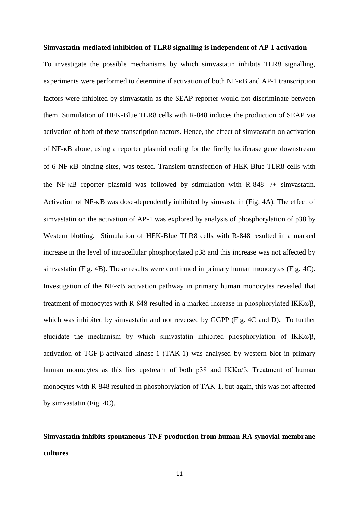#### **Simvastatin-mediated inhibition of TLR8 signalling is independent of AP-1 activation**

To investigate the possible mechanisms by which simvastatin inhibits TLR8 signalling, experiments were performed to determine if activation of both NF- $\kappa$ B and AP-1 transcription factors were inhibited by simvastatin as the SEAP reporter would not discriminate between them. Stimulation of HEK-Blue TLR8 cells with R-848 induces the production of SEAP via activation of both of these transcription factors. Hence, the effect of simvastatin on activation of NF- $\kappa$ B alone, using a reporter plasmid coding for the firefly luciferase gene downstream of 6 NF-KB binding sites, was tested. Transient transfection of HEK-Blue TLR8 cells with the NF- $\kappa$ B reporter plasmid was followed by stimulation with R-848 -/+ simvastatin. Activation of NF-KB was dose-dependently inhibited by simvastatin (Fig. 4A). The effect of simvastatin on the activation of AP-1 was explored by analysis of phosphorylation of p38 by Western blotting. Stimulation of HEK-Blue TLR8 cells with R-848 resulted in a marked increase in the level of intracellular phosphorylated p38 and this increase was not affected by simvastatin (Fig. 4B). These results were confirmed in primary human monocytes (Fig. 4C). Investigation of the  $NF-\kappa B$  activation pathway in primary human monocytes revealed that treatment of monocytes with R-848 resulted in a marked increase in phosphorylated IKK $\alpha/\beta$ , which was inhibited by simvastatin and not reversed by GGPP (Fig. 4C and D). To further elucidate the mechanism by which simvastatin inhibited phosphorylation of IKK $\alpha/\beta$ , activation of TGF-β-activated kinase-1 (TAK-1) was analysed by western blot in primary human monocytes as this lies upstream of both p38 and IKKα/β. Treatment of human monocytes with R-848 resulted in phosphorylation of TAK-1, but again, this was not affected by simvastatin (Fig. 4C).

## **Simvastatin inhibits spontaneous TNF production from human RA synovial membrane cultures**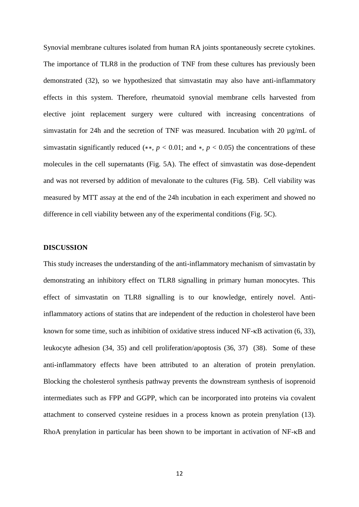Synovial membrane cultures isolated from human RA joints spontaneously secrete cytokines. The importance of TLR8 in the production of TNF from these cultures has previously been demonstrated [\(32\)](#page-17-9), so we hypothesized that simvastatin may also have anti-inflammatory effects in this system. Therefore, rheumatoid synovial membrane cells harvested from elective joint replacement surgery were cultured with increasing concentrations of simvastatin for 24h and the secretion of TNF was measured. Incubation with 20  $\mu$ g/mL of simvastatin significantly reduced (\*\*,  $p < 0.01$ ; and \*,  $p < 0.05$ ) the concentrations of these molecules in the cell supernatants (Fig. 5A). The effect of simvastatin was dose-dependent and was not reversed by addition of mevalonate to the cultures (Fig. 5B). Cell viability was measured by MTT assay at the end of the 24h incubation in each experiment and showed no difference in cell viability between any of the experimental conditions (Fig. 5C).

### **DISCUSSION**

This study increases the understanding of the anti-inflammatory mechanism of simvastatin by demonstrating an inhibitory effect on TLR8 signalling in primary human monocytes. This effect of simvastatin on TLR8 signalling is to our knowledge, entirely novel. Antiinflammatory actions of statins that are independent of the reduction in cholesterol have been known for some time, such as inhibition of oxidative stress induced  $NF$ - $\kappa$ B activation [\(6,](#page-16-5) [33\)](#page-17-10), leukocyte adhesion [\(34,](#page-17-11) [35\)](#page-17-12) and cell proliferation/apoptosis [\(36,](#page-17-13) [37\)](#page-17-14) [\(38\)](#page-17-15). Some of these anti-inflammatory effects have been attributed to an alteration of protein prenylation. Blocking the cholesterol synthesis pathway prevents the downstream synthesis of isoprenoid intermediates such as FPP and GGPP, which can be incorporated into proteins via covalent attachment to conserved cysteine residues in a process known as protein prenylation [\(13\)](#page-16-9). RhoA prenylation in particular has been shown to be important in activation of  $NF-\kappa B$  and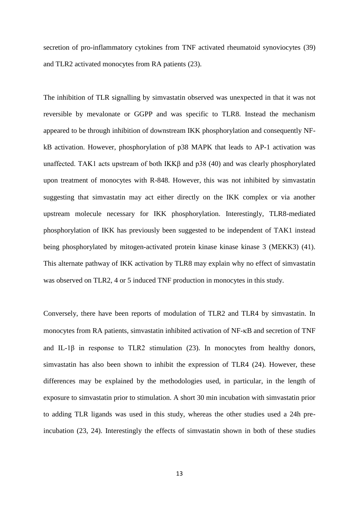secretion of pro-inflammatory cytokines from TNF activated rheumatoid synoviocytes [\(39\)](#page-17-16) and TLR2 activated monocytes from RA patients [\(23\)](#page-17-0).

The inhibition of TLR signalling by simvastatin observed was unexpected in that it was not reversible by mevalonate or GGPP and was specific to TLR8. Instead the mechanism appeared to be through inhibition of downstream IKK phosphorylation and consequently NFkB activation. However, phosphorylation of p38 MAPK that leads to AP-1 activation was unaffected. TAK1 acts upstream of both IKKβ and p38 [\(40\)](#page-17-17) and was clearly phosphorylated upon treatment of monocytes with R-848. However, this was not inhibited by simvastatin suggesting that simvastatin may act either directly on the IKK complex or via another upstream molecule necessary for IKK phosphorylation. Interestingly, TLR8-mediated phosphorylation of IKK has previously been suggested to be independent of TAK1 instead being phosphorylated by mitogen-activated protein kinase kinase kinase 3 (MEKK3) [\(41\)](#page-17-18). This alternate pathway of IKK activation by TLR8 may explain why no effect of simvastatin was observed on TLR2, 4 or 5 induced TNF production in monocytes in this study.

Conversely, there have been reports of modulation of TLR2 and TLR4 by simvastatin. In monocytes from RA patients, simvastatin inhibited activation of NF- $\kappa$ B and secretion of TNF and IL-1 $\beta$  in response to TLR2 stimulation [\(23\)](#page-17-0). In monocytes from healthy donors, simvastatin has also been shown to inhibit the expression of TLR4 [\(24\)](#page-17-1). However, these differences may be explained by the methodologies used, in particular, in the length of exposure to simvastatin prior to stimulation. A short 30 min incubation with simvastatin prior to adding TLR ligands was used in this study, whereas the other studies used a 24h preincubation [\(23,](#page-17-0) [24\)](#page-17-1). Interestingly the effects of simvastatin shown in both of these studies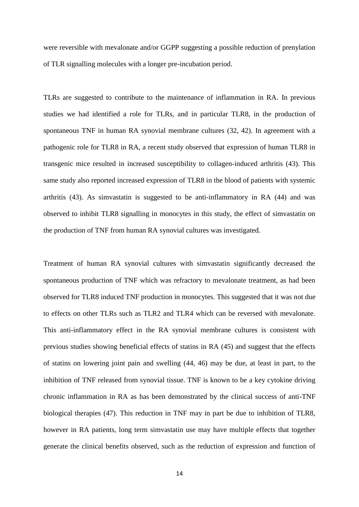were reversible with mevalonate and/or GGPP suggesting a possible reduction of prenylation of TLR signalling molecules with a longer pre-incubation period.

TLRs are suggested to contribute to the maintenance of inflammation in RA. In previous studies we had identified a role for TLRs, and in particular TLR8, in the production of spontaneous TNF in human RA synovial membrane cultures [\(32,](#page-17-9) [42\)](#page-18-0). In agreement with a pathogenic role for TLR8 in RA, a recent study observed that expression of human TLR8 in transgenic mice resulted in increased susceptibility to collagen-induced arthritis [\(43\)](#page-18-1). This same study also reported increased expression of TLR8 in the blood of patients with systemic arthritis [\(43\)](#page-18-1). As simvastatin is suggested to be anti-inflammatory in RA [\(44\)](#page-18-2) and was observed to inhibit TLR8 signalling in monocytes in this study, the effect of simvastatin on the production of TNF from human RA synovial cultures was investigated.

Treatment of human RA synovial cultures with simvastatin significantly decreased the spontaneous production of TNF which was refractory to mevalonate treatment, as had been observed for TLR8 induced TNF production in monocytes. This suggested that it was not due to effects on other TLRs such as TLR2 and TLR4 which can be reversed with mevalonate. This anti-inflammatory effect in the RA synovial membrane cultures is consistent with previous studies showing beneficial effects of statins in RA [\(45\)](#page-18-3) and suggest that the effects of statins on lowering joint pain and swelling [\(44,](#page-18-2) [46\)](#page-18-4) may be due, at least in part, to the inhibition of TNF released from synovial tissue. TNF is known to be a key cytokine driving chronic inflammation in RA as has been demonstrated by the clinical success of anti-TNF biological therapies [\(47\)](#page-18-5). This reduction in TNF may in part be due to inhibition of TLR8, however in RA patients, long term simvastatin use may have multiple effects that together generate the clinical benefits observed, such as the reduction of expression and function of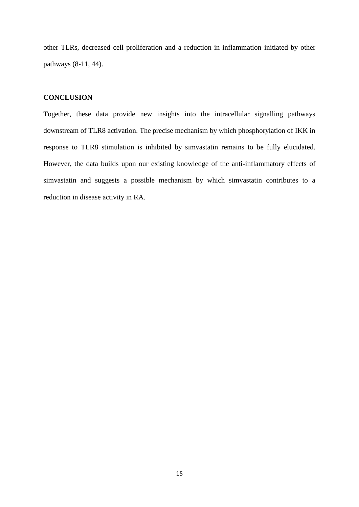other TLRs, decreased cell proliferation and a reduction in inflammation initiated by other pathways [\(8-11,](#page-16-7) [44\)](#page-18-2).

## **CONCLUSION**

Together, these data provide new insights into the intracellular signalling pathways downstream of TLR8 activation. The precise mechanism by which phosphorylation of IKK in response to TLR8 stimulation is inhibited by simvastatin remains to be fully elucidated. However, the data builds upon our existing knowledge of the anti-inflammatory effects of simvastatin and suggests a possible mechanism by which simvastatin contributes to a reduction in disease activity in RA.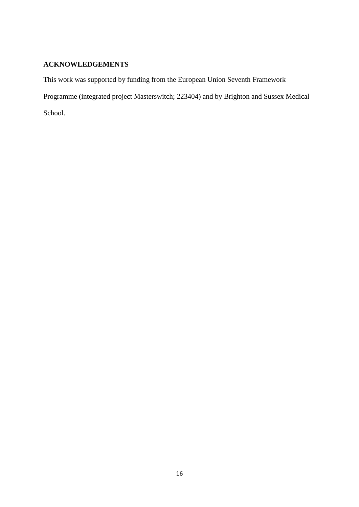## **ACKNOWLEDGEMENTS**

This work was supported by funding from the European Union Seventh Framework

Programme (integrated project Masterswitch; 223404) and by Brighton and Sussex Medical

School.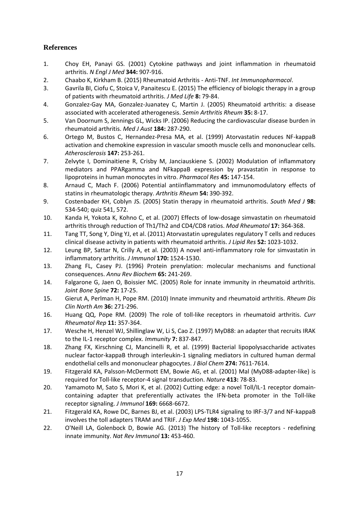## **References**

- <span id="page-16-0"></span>1. Choy EH, Panayi GS. (2001) Cytokine pathways and joint inflammation in rheumatoid arthritis. *N Engl J Med* **344:** 907-916.
- <span id="page-16-1"></span>2. Chaabo K, Kirkham B. (2015) Rheumatoid Arthritis - Anti-TNF. *Int Immunopharmacol*.
- <span id="page-16-2"></span>3. Gavrila BI, Ciofu C, Stoica V, Panaitescu E. (2015) The efficiency of biologic therapy in a group of patients with rheumatoid arthritis. *J Med Life* **8:** 79-84.
- <span id="page-16-3"></span>4. Gonzalez-Gay MA, Gonzalez-Juanatey C, Martin J. (2005) Rheumatoid arthritis: a disease associated with accelerated atherogenesis. *Semin Arthritis Rheum* **35:** 8-17.
- <span id="page-16-4"></span>5. Van Doornum S, Jennings GL, Wicks IP. (2006) Reducing the cardiovascular disease burden in rheumatoid arthritis. *Med J Aust* **184:** 287-290.
- <span id="page-16-5"></span>6. Ortego M, Bustos C, Hernandez-Presa MA, et al. (1999) Atorvastatin reduces NF-kappaB activation and chemokine expression in vascular smooth muscle cells and mononuclear cells. *Atherosclerosis* **147:** 253-261.
- <span id="page-16-6"></span>7. Zelvyte I, Dominaitiene R, Crisby M, Janciauskiene S. (2002) Modulation of inflammatory mediators and PPARgamma and NFkappaB expression by pravastatin in response to lipoproteins in human monocytes in vitro. *Pharmacol Res* **45:** 147-154.
- <span id="page-16-7"></span>8. Arnaud C, Mach F. (2006) Potential antiinflammatory and immunomodulatory effects of statins in rheumatologic therapy. *Arthritis Rheum* **54:** 390-392.
- 9. Costenbader KH, Coblyn JS. (2005) Statin therapy in rheumatoid arthritis. *South Med J* **98:** 534-540; quiz 541, 572.
- 10. Kanda H, Yokota K, Kohno C, et al. (2007) Effects of low-dosage simvastatin on rheumatoid arthritis through reduction of Th1/Th2 and CD4/CD8 ratios. *Mod Rheumatol* **17:** 364-368.
- 11. Tang TT, Song Y, Ding YJ, et al. (2011) Atorvastatin upregulates regulatory T cells and reduces clinical disease activity in patients with rheumatoid arthritis. *J Lipid Res* **52:** 1023-1032.
- <span id="page-16-8"></span>12. Leung BP, Sattar N, Crilly A, et al. (2003) A novel anti-inflammatory role for simvastatin in inflammatory arthritis. *J Immunol* **170:** 1524-1530.
- <span id="page-16-9"></span>13. Zhang FL, Casey PJ. (1996) Protein prenylation: molecular mechanisms and functional consequences. *Annu Rev Biochem* **65:** 241-269.
- <span id="page-16-10"></span>14. Falgarone G, Jaen O, Boissier MC. (2005) Role for innate immunity in rheumatoid arthritis. *Joint Bone Spine* **72:** 17-25.
- <span id="page-16-11"></span>15. Gierut A, Perlman H, Pope RM. (2010) Innate immunity and rheumatoid arthritis. *Rheum Dis Clin North Am* **36:** 271-296.
- <span id="page-16-12"></span>16. Huang QQ, Pope RM. (2009) The role of toll-like receptors in rheumatoid arthritis. *Curr Rheumatol Rep* **11:** 357-364.
- <span id="page-16-13"></span>17. Wesche H, Henzel WJ, Shillinglaw W, Li S, Cao Z. (1997) MyD88: an adapter that recruits IRAK to the IL-1 receptor complex. *Immunity* **7:** 837-847.
- <span id="page-16-14"></span>18. Zhang FX, Kirschning CJ, Mancinelli R, et al. (1999) Bacterial lipopolysaccharide activates nuclear factor-kappaB through interleukin-1 signaling mediators in cultured human dermal endothelial cells and mononuclear phagocytes. *J Biol Chem* **274:** 7611-7614.
- <span id="page-16-15"></span>19. Fitzgerald KA, Palsson-McDermott EM, Bowie AG, et al. (2001) Mal (MyD88-adapter-like) is required for Toll-like receptor-4 signal transduction. *Nature* **413:** 78-83.
- <span id="page-16-16"></span>20. Yamamoto M, Sato S, Mori K, et al. (2002) Cutting edge: a novel Toll/IL-1 receptor domaincontaining adapter that preferentially activates the IFN-beta promoter in the Toll-like receptor signaling. *J Immunol* **169:** 6668-6672.
- <span id="page-16-17"></span>21. Fitzgerald KA, Rowe DC, Barnes BJ, et al. (2003) LPS-TLR4 signaling to IRF-3/7 and NF-kappaB involves the toll adapters TRAM and TRIF. *J Exp Med* **198:** 1043-1055.
- <span id="page-16-18"></span>22. O'Neill LA, Golenbock D, Bowie AG. (2013) The history of Toll-like receptors - redefining innate immunity. *Nat Rev Immunol* **13:** 453-460.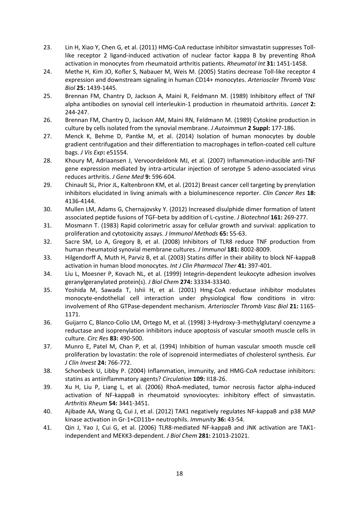- <span id="page-17-0"></span>23. Lin H, Xiao Y, Chen G, et al. (2011) HMG-CoA reductase inhibitor simvastatin suppresses Tolllike receptor 2 ligand-induced activation of nuclear factor kappa B by preventing RhoA activation in monocytes from rheumatoid arthritis patients. *Rheumatol Int* **31:** 1451-1458.
- <span id="page-17-1"></span>24. Methe H, Kim JO, Kofler S, Nabauer M, Weis M. (2005) Statins decrease Toll-like receptor 4 expression and downstream signaling in human CD14+ monocytes. *Arterioscler Thromb Vasc Biol* **25:** 1439-1445.
- <span id="page-17-2"></span>25. Brennan FM, Chantry D, Jackson A, Maini R, Feldmann M. (1989) Inhibitory effect of TNF alpha antibodies on synovial cell interleukin-1 production in rheumatoid arthritis. *Lancet* **2:** 244-247.
- <span id="page-17-3"></span>26. Brennan FM, Chantry D, Jackson AM, Maini RN, Feldmann M. (1989) Cytokine production in culture by cells isolated from the synovial membrane. *J Autoimmun* **2 Suppl:** 177-186.
- <span id="page-17-4"></span>27. Menck K, Behme D, Pantke M, et al. (2014) Isolation of human monocytes by double gradient centrifugation and their differentiation to macrophages in teflon-coated cell culture bags. *J Vis Exp***:** e51554.
- <span id="page-17-5"></span>28. Khoury M, Adriaansen J, Vervoordeldonk MJ, et al. (2007) Inflammation-inducible anti-TNF gene expression mediated by intra-articular injection of serotype 5 adeno-associated virus reduces arthritis. *J Gene Med* **9:** 596-604.
- <span id="page-17-6"></span>29. Chinault SL, Prior JL, Kaltenbronn KM, et al. (2012) Breast cancer cell targeting by prenylation inhibitors elucidated in living animals with a bioluminescence reporter. *Clin Cancer Res* **18:** 4136-4144.
- <span id="page-17-7"></span>30. Mullen LM, Adams G, Chernajovsky Y. (2012) Increased disulphide dimer formation of latent associated peptide fusions of TGF-beta by addition of L-cystine. *J Biotechnol* **161:** 269-277.
- <span id="page-17-8"></span>31. Mosmann T. (1983) Rapid colorimetric assay for cellular growth and survival: application to proliferation and cytotoxicity assays. *J Immunol Methods* **65:** 55-63.
- <span id="page-17-9"></span>32. Sacre SM, Lo A, Gregory B, et al. (2008) Inhibitors of TLR8 reduce TNF production from human rheumatoid synovial membrane cultures. *J Immunol* **181:** 8002-8009.
- <span id="page-17-10"></span>33. Hilgendorff A, Muth H, Parviz B, et al. (2003) Statins differ in their ability to block NF-kappaB activation in human blood monocytes. *Int J Clin Pharmacol Ther* **41:** 397-401.
- <span id="page-17-11"></span>34. Liu L, Moesner P, Kovach NL, et al. (1999) Integrin-dependent leukocyte adhesion involves geranylgeranylated protein(s). *J Biol Chem* **274:** 33334-33340.
- <span id="page-17-12"></span>35. Yoshida M, Sawada T, Ishii H, et al. (2001) Hmg-CoA reductase inhibitor modulates monocyte-endothelial cell interaction under physiological flow conditions in vitro: involvement of Rho GTPase-dependent mechanism. *Arterioscler Thromb Vasc Biol* **21:** 1165- 1171.
- <span id="page-17-13"></span>36. Guijarro C, Blanco-Colio LM, Ortego M, et al. (1998) 3-Hydroxy-3-methylglutaryl coenzyme a reductase and isoprenylation inhibitors induce apoptosis of vascular smooth muscle cells in culture. *Circ Res* **83:** 490-500.
- <span id="page-17-14"></span>37. Munro E, Patel M, Chan P, et al. (1994) Inhibition of human vascular smooth muscle cell proliferation by lovastatin: the role of isoprenoid intermediates of cholesterol synthesis. *Eur J Clin Invest* **24:** 766-772.
- <span id="page-17-15"></span>38. Schonbeck U, Libby P. (2004) Inflammation, immunity, and HMG-CoA reductase inhibitors: statins as antiinflammatory agents? *Circulation* **109:** II18-26.
- <span id="page-17-16"></span>39. Xu H, Liu P, Liang L, et al. (2006) RhoA-mediated, tumor necrosis factor alpha-induced activation of NF-kappaB in rheumatoid synoviocytes: inhibitory effect of simvastatin. *Arthritis Rheum* **54:** 3441-3451.
- <span id="page-17-17"></span>40. Ajibade AA, Wang Q, Cui J, et al. (2012) TAK1 negatively regulates NF-kappaB and p38 MAP kinase activation in Gr-1+CD11b+ neutrophils. *Immunity* **36:** 43-54.
- <span id="page-17-18"></span>41. Qin J, Yao J, Cui G, et al. (2006) TLR8-mediated NF-kappaB and JNK activation are TAK1 independent and MEKK3-dependent. *J Biol Chem* **281:** 21013-21021.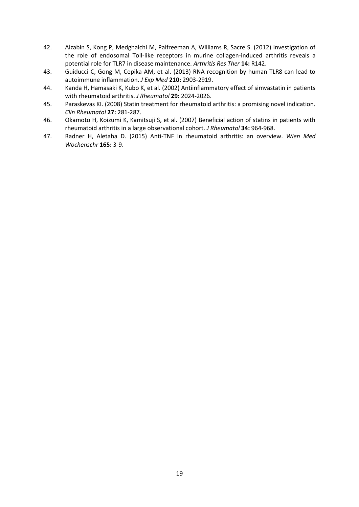- <span id="page-18-0"></span>42. Alzabin S, Kong P, Medghalchi M, Palfreeman A, Williams R, Sacre S. (2012) Investigation of the role of endosomal Toll-like receptors in murine collagen-induced arthritis reveals a potential role for TLR7 in disease maintenance. *Arthritis Res Ther* **14:** R142.
- <span id="page-18-1"></span>43. Guiducci C, Gong M, Cepika AM, et al. (2013) RNA recognition by human TLR8 can lead to autoimmune inflammation. *J Exp Med* **210:** 2903-2919.
- <span id="page-18-2"></span>44. Kanda H, Hamasaki K, Kubo K, et al. (2002) Antiinflammatory effect of simvastatin in patients with rheumatoid arthritis. *J Rheumatol* **29:** 2024-2026.
- <span id="page-18-3"></span>45. Paraskevas KI. (2008) Statin treatment for rheumatoid arthritis: a promising novel indication. *Clin Rheumatol* **27:** 281-287.
- <span id="page-18-4"></span>46. Okamoto H, Koizumi K, Kamitsuji S, et al. (2007) Beneficial action of statins in patients with rheumatoid arthritis in a large observational cohort. *J Rheumatol* **34:** 964-968.
- <span id="page-18-5"></span>47. Radner H, Aletaha D. (2015) Anti-TNF in rheumatoid arthritis: an overview. *Wien Med Wochenschr* **165:** 3-9.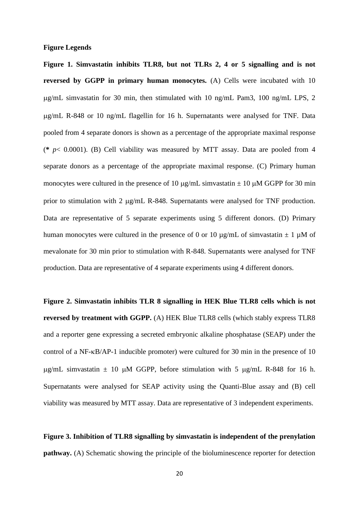#### **Figure Legends**

**Figure 1. Simvastatin inhibits TLR8, but not TLRs 2, 4 or 5 signalling and is not reversed by GGPP in primary human monocytes.** (A) Cells were incubated with 10 g/mL simvastatin for 30 min, then stimulated with 10 ng/mL Pam3, 100 ng/mL LPS, 2 g/mL R-848 or 10 ng/mL flagellin for 16 h. Supernatants were analysed for TNF. Data pooled from 4 separate donors is shown as a percentage of the appropriate maximal response (**\*** *p*< 0.0001). (B) Cell viability was measured by MTT assay. Data are pooled from 4 separate donors as a percentage of the appropriate maximal response. (C) Primary human monocytes were cultured in the presence of 10  $\mu$ g/mL simvastatin  $\pm$  10  $\mu$ M GGPP for 30 min prior to stimulation with 2  $\mu$ g/mL R-848. Supernatants were analysed for TNF production. Data are representative of 5 separate experiments using 5 different donors. (D) Primary human monocytes were cultured in the presence of 0 or 10  $\mu$ g/mL of simvastatin  $\pm$  1  $\mu$ M of mevalonate for 30 min prior to stimulation with R-848. Supernatants were analysed for TNF production. Data are representative of 4 separate experiments using 4 different donors.

**Figure 2. Simvastatin inhibits TLR 8 signalling in HEK Blue TLR8 cells which is not reversed by treatment with GGPP.** (A) HEK Blue TLR8 cells (which stably express TLR8 and a reporter gene expressing a secreted embryonic alkaline phosphatase (SEAP) under the control of a NF- $\kappa$ B/AP-1 inducible promoter) were cultured for 30 min in the presence of 10  $\mu$ g/mL simvastatin  $\pm$  10  $\mu$ M GGPP, before stimulation with 5  $\mu$ g/mL R-848 for 16 h. Supernatants were analysed for SEAP activity using the Quanti-Blue assay and (B) cell viability was measured by MTT assay. Data are representative of 3 independent experiments.

**Figure 3. Inhibition of TLR8 signalling by simvastatin is independent of the prenylation pathway.** (A) Schematic showing the principle of the bioluminescence reporter for detection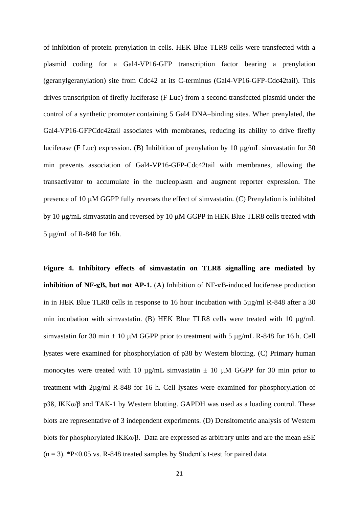of inhibition of protein prenylation in cells. HEK Blue TLR8 cells were transfected with a plasmid coding for a Gal4-VP16-GFP transcription factor bearing a prenylation (geranylgeranylation) site from Cdc42 at its C-terminus (Gal4-VP16-GFP-Cdc42tail). This drives transcription of firefly luciferase (F Luc) from a second transfected plasmid under the control of a synthetic promoter containing 5 Gal4 DNA–binding sites. When prenylated, the Gal4-VP16-GFPCdc42tail associates with membranes, reducing its ability to drive firefly luciferase (F Luc) expression. (B) Inhibition of prenylation by 10  $\mu$ g/mL simvastatin for 30 min prevents association of Gal4-VP16-GFP-Cdc42tail with membranes, allowing the transactivator to accumulate in the nucleoplasm and augment reporter expression. The presence of 10  $\mu$ M GGPP fully reverses the effect of simvastatin. (C) Prenylation is inhibited by 10  $\mu$ g/mL simvastatin and reversed by 10  $\mu$ M GGPP in HEK Blue TLR8 cells treated with 5 g/mL of R-848 for 16h.

**Figure 4. Inhibitory effects of simvastatin on TLR8 signalling are mediated by inhibition of NF-** $\kappa$ **B, but not AP-1.** (A) Inhibition of NF- $\kappa$ B-induced luciferase production in in HEK Blue TLR8 cells in response to 16 hour incubation with 5µg/ml R-848 after a 30 min incubation with simvastatin. (B) HEK Blue TLR8 cells were treated with 10  $\mu$ g/mL simvastatin for 30 min  $\pm$  10  $\mu$ M GGPP prior to treatment with 5  $\mu$ g/mL R-848 for 16 h. Cell lysates were examined for phosphorylation of p38 by Western blotting. (C) Primary human monocytes were treated with 10  $\mu$ g/mL simvastatin  $\pm$  10  $\mu$ M GGPP for 30 min prior to treatment with 2µg/ml R-848 for 16 h. Cell lysates were examined for phosphorylation of p38, IKKα/β and TAK-1 by Western blotting. GAPDH was used as a loading control. These blots are representative of 3 independent experiments. (D) Densitometric analysis of Western blots for phosphorylated IKK $\alpha/\beta$ . Data are expressed as arbitrary units and are the mean  $\pm$ SE  $(n = 3)$ . \*P<0.05 vs. R-848 treated samples by Student's t-test for paired data.